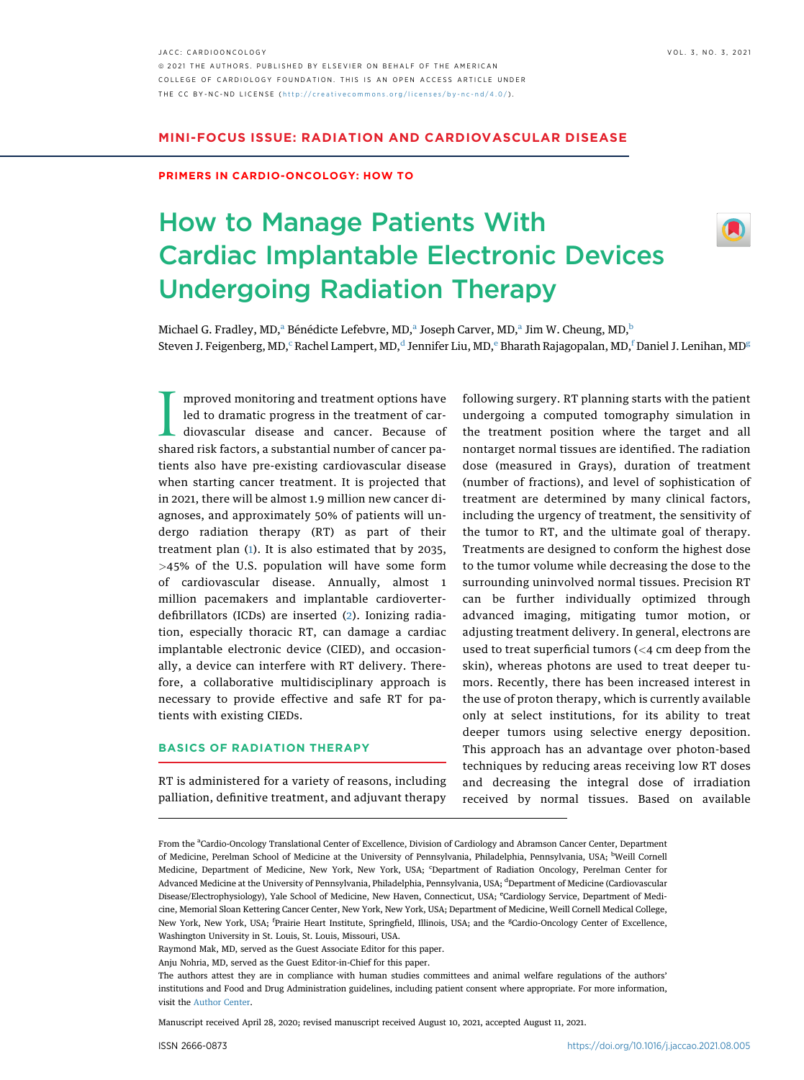JACC: CARDIOONCOLOGY VOL. 3, NO. 3, 2021 ª 2021 THE AUTHORS. PUBLISHED BY ELSEVIER ON BEHALF OF THE AMERICAN COLLEGE OF CARDIOLOGY FOUNDATION. THIS IS AN OPEN ACCESS ARTICLE UNDER THE CC BY-NC-ND LICENSE ( http://creativecommons.o [rg/licenses/by-nc-nd/4.0/](http://creativecommons.org/licenses/by-nc-nd/4.0/) ) .

## MINI-FOCUS ISSUE: RADIATION AND CARDIOVASCULAR DISEASE

#### PRIMERS IN CARDIO-ONCOLOGY: HOW TO

# How to Manage Patients With Cardiac Implantable Electronic Devices Undergoing Radiation Therapy



Mich[a](#page-0-0)el G. Fradley, MD,<sup>a</sup> Bénédicte Lefe[b](#page-0-1)vre, MD,<sup>a</sup> Joseph Carver, MD,<sup>a</sup> Jim W. Cheung, MD,<sup>b</sup> Steven J. Fei[g](#page-0-5)enberg, MD, $^{\rm c}$  $^{\rm c}$  $^{\rm c}$ Rachel Lampert, MD, $^{\rm d}$  $^{\rm d}$  $^{\rm d}$  Jenni[f](#page-0-5)er Liu, MD, $^{\rm e}$ Bharath Rajagopalan, MD, $^{\rm f}$ Daniel J. Lenihan, MD $^{\rm g}$ 

Improved monitoring and treatment options have<br>led to dramatic progress in the treatment of car-<br>diovascular disease and cancer. Because of<br>shared risk factors, a substantial number of cancer pamproved monitoring and treatment options have led to dramatic progress in the treatment of cardiovascular disease and cancer. Because of tients also have pre-existing cardiovascular disease when starting cancer treatment. It is projected that in 2021, there will be almost 1.9 million new cancer diagnoses, and approximately 50% of patients will undergo radiation therapy (RT) as part of their treatment plan ([1\)](#page-4-0). It is also estimated that by 2035, >45% of the U.S. population will have some form of cardiovascular disease. Annually, almost 1 million pacemakers and implantable cardioverterdefibrillators (ICDs) are inserted [\(2\)](#page-4-1). Ionizing radiation, especially thoracic RT, can damage a cardiac implantable electronic device (CIED), and occasionally, a device can interfere with RT delivery. Therefore, a collaborative multidisciplinary approach is necessary to provide effective and safe RT for patients with existing CIEDs.

## BASICS OF RADIATION THERAPY

RT is administered for a variety of reasons, including palliation, definitive treatment, and adjuvant therapy

following surgery. RT planning starts with the patient undergoing a computed tomography simulation in the treatment position where the target and all nontarget normal tissues are identified. The radiation dose (measured in Grays), duration of treatment (number of fractions), and level of sophistication of treatment are determined by many clinical factors, including the urgency of treatment, the sensitivity of the tumor to RT, and the ultimate goal of therapy. Treatments are designed to conform the highest dose to the tumor volume while decreasing the dose to the surrounding uninvolved normal tissues. Precision RT can be further individually optimized through advanced imaging, mitigating tumor motion, or adjusting treatment delivery. In general, electrons are used to treat superficial tumors (<4 cm deep from the skin), whereas photons are used to treat deeper tumors. Recently, there has been increased interest in the use of proton therapy, which is currently available only at select institutions, for its ability to treat deeper tumors using selective energy deposition. This approach has an advantage over photon-based techniques by reducing areas receiving low RT doses and decreasing the integral dose of irradiation received by normal tissues. Based on available

Manuscript received April 28, 2020; revised manuscript received August 10, 2021, accepted August 11, 2021.

<span id="page-0-4"></span><span id="page-0-3"></span><span id="page-0-2"></span><span id="page-0-1"></span><span id="page-0-0"></span>From the <sup>a</sup>Cardio-Oncology Translational Center of Excellence, Division of Cardiology and Abramson Cancer Center, Department of Medicine, Perelman School of Medicine at the University of Pennsylvania, Philadelphia, Pennsylvania, USA; <sup>b</sup>Weill Cornell Medicine, Department of Medicine, New York, New York, USA; 'Department of Radiation Oncology, Perelman Center for Advanced Medicine at the University of Pennsylvania, Philadelphia, Pennsylvania, USA; <sup>d</sup>Department of Medicine (Cardiovascular Disease/Electrophysiology), Yale School of Medicine, New Haven, Connecticut, USA; <sup>e</sup>Cardiology Service, Department of Medicine, Memorial Sloan Kettering Cancer Center, New York, New York, USA; Department of Medicine, Weill Cornell Medical College, New York, New York, USA; <sup>f</sup>Prairie Heart Institute, Springfield, Illinois, USA; and the <sup>g</sup>Cardio-Oncology Center of Excellence, Washington University in St. Louis, St. Louis, Missouri, USA.

<span id="page-0-5"></span>Raymond Mak, MD, served as the Guest Associate Editor for this paper.

Anju Nohria, MD, served as the Guest Editor-in-Chief for this paper.

The authors attest they are in compliance with human studies committees and animal welfare regulations of the authors' institutions and Food and Drug Administration guidelines, including patient consent where appropriate. For more information, visit the [Author Center](https://www.jacc.org/author-center).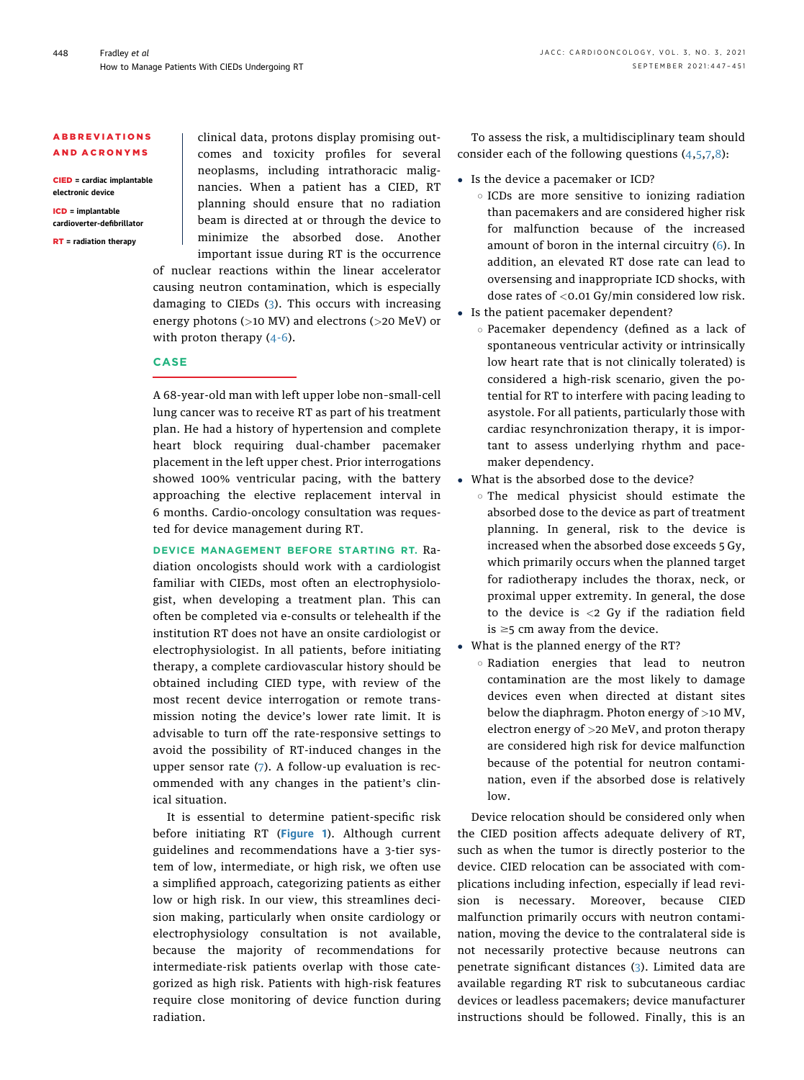### ABBREVIATIONS AND ACRONYMS

CIED = cardiac implantable electronic device

ICD = implantable cardioverter-defibrillator

RT = radiation therapy

clinical data, protons display promising outcomes and toxicity profiles for several neoplasms, including intrathoracic malignancies. When a patient has a CIED, RT planning should ensure that no radiation beam is directed at or through the device to minimize the absorbed dose. Another important issue during RT is the occurrence of nuclear reactions within the linear accelerator causing neutron contamination, which is especially damaging to CIEDs ([3\)](#page-4-2). This occurs with increasing energy photons (>10 MV) and electrons (>20 MeV) or

with proton therapy  $(4-6)$  $(4-6)$ .

## CASE

A 68-year-old man with left upper lobe non–small-cell lung cancer was to receive RT as part of his treatment plan. He had a history of hypertension and complete heart block requiring dual-chamber pacemaker placement in the left upper chest. Prior interrogations showed 100% ventricular pacing, with the battery approaching the elective replacement interval in 6 months. Cardio-oncology consultation was requested for device management during RT.

DEVICE MANAGEMENT BEFORE STARTING RT. Radiation oncologists should work with a cardiologist familiar with CIEDs, most often an electrophysiologist, when developing a treatment plan. This can often be completed via e-consults or telehealth if the institution RT does not have an onsite cardiologist or electrophysiologist. In all patients, before initiating therapy, a complete cardiovascular history should be obtained including CIED type, with review of the most recent device interrogation or remote transmission noting the device's lower rate limit. It is advisable to turn off the rate-responsive settings to avoid the possibility of RT-induced changes in the upper sensor rate ([7](#page-4-4)). A follow-up evaluation is recommended with any changes in the patient's clinical situation.

It is essential to determine patient-specific risk before initiating RT ([Figure 1](#page-2-0)). Although current guidelines and recommendations have a 3-tier system of low, intermediate, or high risk, we often use a simplified approach, categorizing patients as either low or high risk. In our view, this streamlines decision making, particularly when onsite cardiology or electrophysiology consultation is not available, because the majority of recommendations for intermediate-risk patients overlap with those categorized as high risk. Patients with high-risk features require close monitoring of device function during radiation.

To assess the risk, a multidisciplinary team should consider each of the following questions [\(4](#page-4-3),[5](#page-4-5),[7](#page-4-4),[8](#page-4-6)):

- Is the device a pacemaker or ICD?
	- $\circ$  ICDs are more sensitive to ionizing radiation than pacemakers and are considered higher risk for malfunction because of the increased amount of boron in the internal circuitry ([6](#page-4-7)). In addition, an elevated RT dose rate can lead to oversensing and inappropriate ICD shocks, with dose rates of <0.01 Gy/min considered low risk.
- Is the patient pacemaker dependent?
	- $\circ$  Pacemaker dependency (defined as a lack of spontaneous ventricular activity or intrinsically low heart rate that is not clinically tolerated) is considered a high-risk scenario, given the potential for RT to interfere with pacing leading to asystole. For all patients, particularly those with cardiac resynchronization therapy, it is important to assess underlying rhythm and pacemaker dependency.
- What is the absorbed dose to the device?
	- o The medical physicist should estimate the absorbed dose to the device as part of treatment planning. In general, risk to the device is increased when the absorbed dose exceeds 5 Gy, which primarily occurs when the planned target for radiotherapy includes the thorax, neck, or proximal upper extremity. In general, the dose to the device is  $\langle 2 \rangle$  Gy if the radiation field is  $\geq$ 5 cm away from the device.
- What is the planned energy of the RT?
	- o Radiation energies that lead to neutron contamination are the most likely to damage devices even when directed at distant sites below the diaphragm. Photon energy of >10 MV, electron energy of >20 MeV, and proton therapy are considered high risk for device malfunction because of the potential for neutron contamination, even if the absorbed dose is relatively low.

Device relocation should be considered only when the CIED position affects adequate delivery of RT, such as when the tumor is directly posterior to the device. CIED relocation can be associated with complications including infection, especially if lead revision is necessary. Moreover, because CIED malfunction primarily occurs with neutron contamination, moving the device to the contralateral side is not necessarily protective because neutrons can penetrate significant distances ([3](#page-4-2)). Limited data are available regarding RT risk to subcutaneous cardiac devices or leadless pacemakers; device manufacturer instructions should be followed. Finally, this is an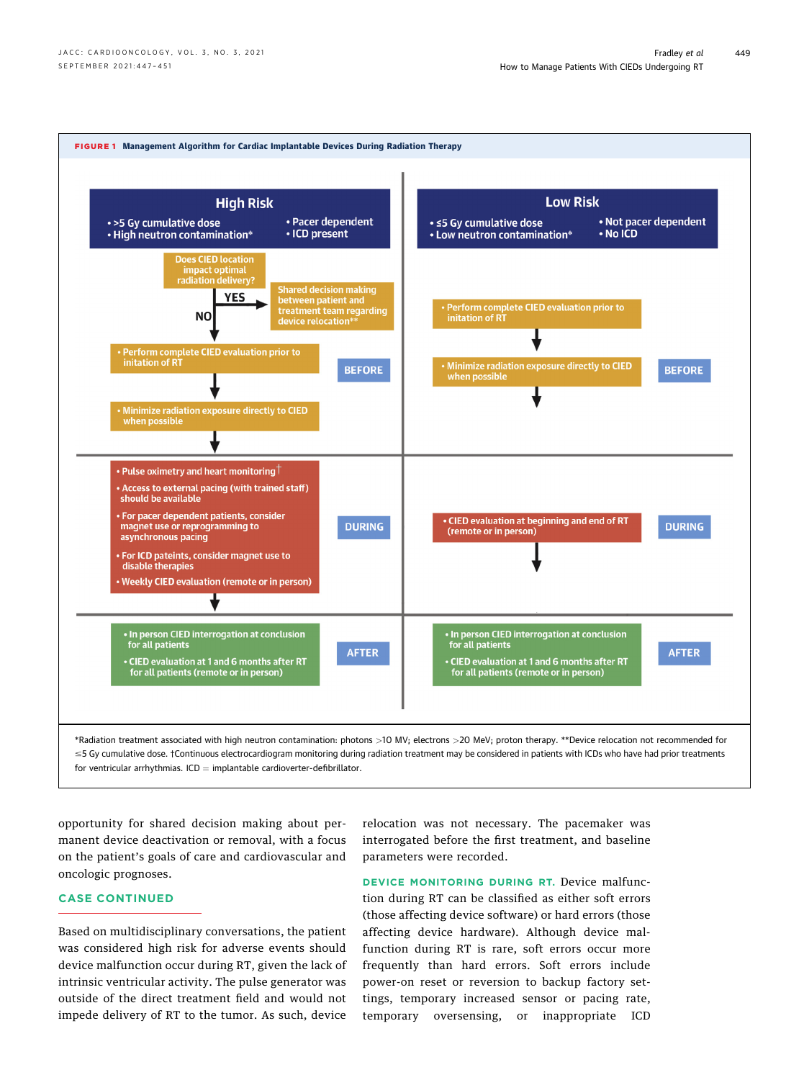<span id="page-2-0"></span>

opportunity for shared decision making about permanent device deactivation or removal, with a focus on the patient's goals of care and cardiovascular and oncologic prognoses.

## CASE CONTINUED

Based on multidisciplinary conversations, the patient was considered high risk for adverse events should device malfunction occur during RT, given the lack of intrinsic ventricular activity. The pulse generator was outside of the direct treatment field and would not impede delivery of RT to the tumor. As such, device

relocation was not necessary. The pacemaker was interrogated before the first treatment, and baseline parameters were recorded.

DEVICE MONITORING DURING RT. Device malfunction during RT can be classified as either soft errors (those affecting device software) or hard errors (those affecting device hardware). Although device malfunction during RT is rare, soft errors occur more frequently than hard errors. Soft errors include power-on reset or reversion to backup factory settings, temporary increased sensor or pacing rate, temporary oversensing, or inappropriate ICD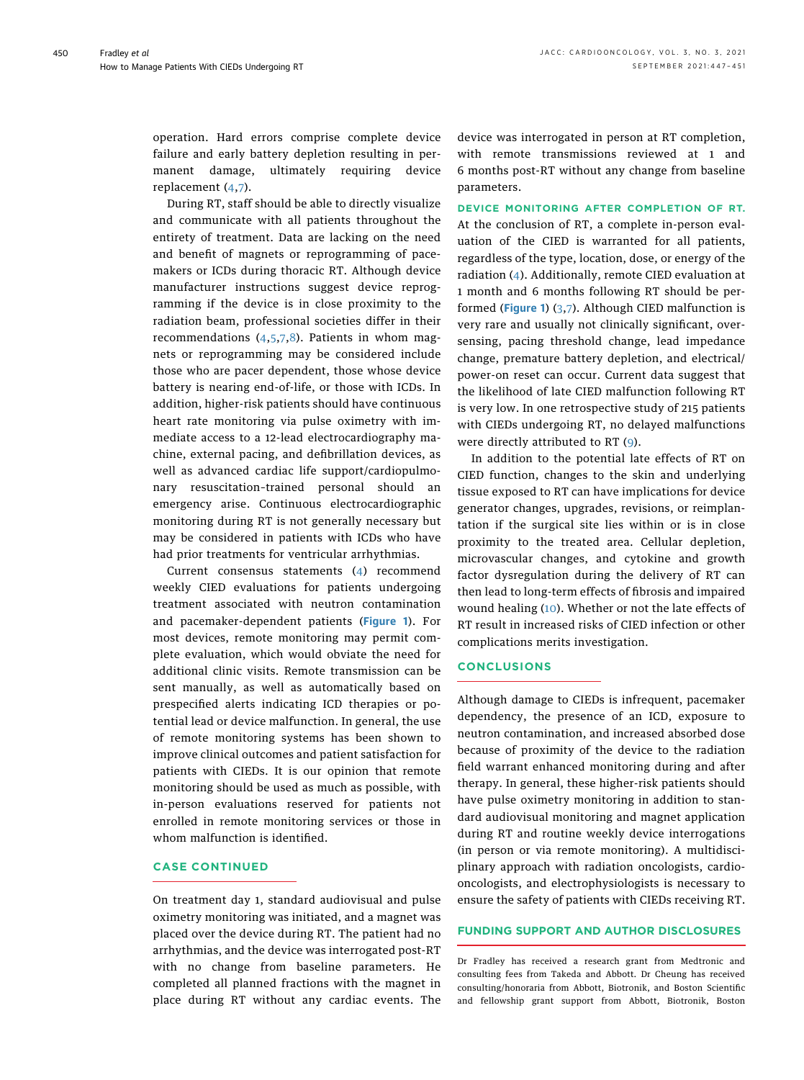operation. Hard errors comprise complete device failure and early battery depletion resulting in permanent damage, ultimately requiring device replacement [\(4](#page-4-3),[7](#page-4-4)).

During RT, staff should be able to directly visualize and communicate with all patients throughout the entirety of treatment. Data are lacking on the need and benefit of magnets or reprogramming of pacemakers or ICDs during thoracic RT. Although device manufacturer instructions suggest device reprogramming if the device is in close proximity to the radiation beam, professional societies differ in their recommendations [\(4](#page-4-3),[5](#page-4-5),[7](#page-4-4)[,8](#page-4-6)). Patients in whom magnets or reprogramming may be considered include those who are pacer dependent, those whose device battery is nearing end-of-life, or those with ICDs. In addition, higher-risk patients should have continuous heart rate monitoring via pulse oximetry with immediate access to a 12-lead electrocardiography machine, external pacing, and defibrillation devices, as well as advanced cardiac life support/cardiopulmonary resuscitation–trained personal should an emergency arise. Continuous electrocardiographic monitoring during RT is not generally necessary but may be considered in patients with ICDs who have had prior treatments for ventricular arrhythmias.

Current consensus statements [\(4](#page-4-3)) recommend weekly CIED evaluations for patients undergoing treatment associated with neutron contamination and pacemaker-dependent patients ([Figure 1](#page-2-0)). For most devices, remote monitoring may permit complete evaluation, which would obviate the need for additional clinic visits. Remote transmission can be sent manually, as well as automatically based on prespecified alerts indicating ICD therapies or potential lead or device malfunction. In general, the use of remote monitoring systems has been shown to improve clinical outcomes and patient satisfaction for patients with CIEDs. It is our opinion that remote monitoring should be used as much as possible, with in-person evaluations reserved for patients not enrolled in remote monitoring services or those in whom malfunction is identified.

## CASE CONTINUED

On treatment day 1, standard audiovisual and pulse oximetry monitoring was initiated, and a magnet was placed over the device during RT. The patient had no arrhythmias, and the device was interrogated post-RT with no change from baseline parameters. He completed all planned fractions with the magnet in place during RT without any cardiac events. The device was interrogated in person at RT completion, with remote transmissions reviewed at 1 and 6 months post-RT without any change from baseline parameters.

DEVICE MONITORING AFTER COMPLETION OF RT. At the conclusion of RT, a complete in-person evaluation of the CIED is warranted for all patients, regardless of the type, location, dose, or energy of the radiation ([4\)](#page-4-3). Additionally, remote CIED evaluation at 1 month and 6 months following RT should be performed ([Figure 1](#page-2-0)) [\(3,](#page-4-2)[7](#page-4-4)). Although CIED malfunction is very rare and usually not clinically significant, oversensing, pacing threshold change, lead impedance change, premature battery depletion, and electrical/ power-on reset can occur. Current data suggest that the likelihood of late CIED malfunction following RT is very low. In one retrospective study of 215 patients with CIEDs undergoing RT, no delayed malfunctions were directly attributed to RT ([9](#page-4-8)).

In addition to the potential late effects of RT on CIED function, changes to the skin and underlying tissue exposed to RT can have implications for device generator changes, upgrades, revisions, or reimplantation if the surgical site lies within or is in close proximity to the treated area. Cellular depletion, microvascular changes, and cytokine and growth factor dysregulation during the delivery of RT can then lead to long-term effects of fibrosis and impaired wound healing [\(10](#page-4-9)). Whether or not the late effects of RT result in increased risks of CIED infection or other complications merits investigation.

### CONCLUSIONS

Although damage to CIEDs is infrequent, pacemaker dependency, the presence of an ICD, exposure to neutron contamination, and increased absorbed dose because of proximity of the device to the radiation field warrant enhanced monitoring during and after therapy. In general, these higher-risk patients should have pulse oximetry monitoring in addition to standard audiovisual monitoring and magnet application during RT and routine weekly device interrogations (in person or via remote monitoring). A multidisciplinary approach with radiation oncologists, cardiooncologists, and electrophysiologists is necessary to ensure the safety of patients with CIEDs receiving RT.

#### FUNDING SUPPORT AND AUTHOR DISCLOSURES

Dr Fradley has received a research grant from Medtronic and consulting fees from Takeda and Abbott. Dr Cheung has received consulting/honoraria from Abbott, Biotronik, and Boston Scientific and fellowship grant support from Abbott, Biotronik, Boston